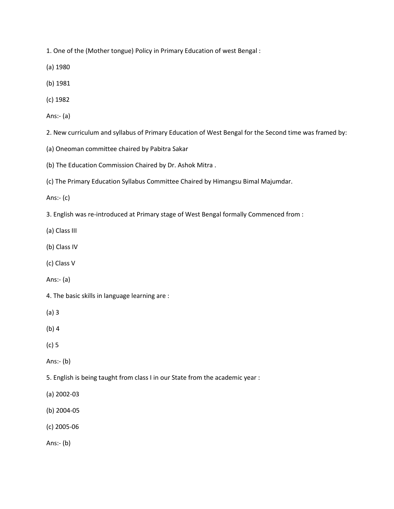1. One of the (Mother tongue) Policy in Primary Education of west Bengal :

(a) 1980

- (b) 1981
- (c) 1982
- Ans:- (a)

2. New curriculum and syllabus of Primary Education of West Bengal for the Second time was framed by:

- (a) Oneoman committee chaired by Pabitra Sakar
- (b) The Education Commission Chaired by Dr. Ashok Mitra .
- (c) The Primary Education Syllabus Committee Chaired by Himangsu Bimal Majumdar.

Ans:- (c)

3. English was re-introduced at Primary stage of West Bengal formally Commenced from :

(a) Class III

- (b) Class IV
- (c) Class V
- Ans:- (a)
- 4. The basic skills in language learning are :

(a) 3

(b) 4

(c) 5

Ans:- (b)

- 5. English is being taught from class I in our State from the academic year :
- (a) 2002-03
- (b) 2004-05
- (c) 2005-06

Ans:- (b)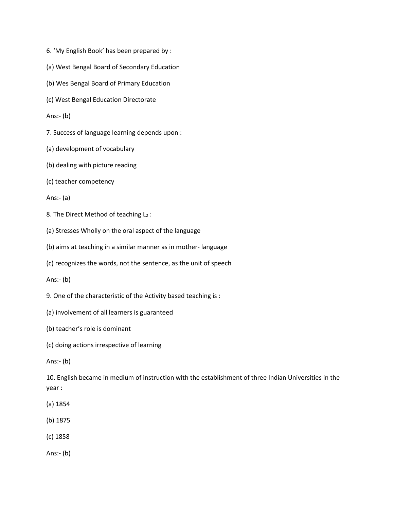- 6. 'My English Book' has been prepared by :
- (a) West Bengal Board of Secondary Education
- (b) Wes Bengal Board of Primary Education
- (c) West Bengal Education Directorate
- Ans:- (b)
- 7. Success of language learning depends upon :
- (a) development of vocabulary
- (b) dealing with picture reading
- (c) teacher competency
- Ans:- (a)
- 8. The Direct Method of teaching  $L_2$ :
- (a) Stresses Wholly on the oral aspect of the language
- (b) aims at teaching in a similar manner as in mother- language
- (c) recognizes the words, not the sentence, as the unit of speech
- Ans:- (b)
- 9. One of the characteristic of the Activity based teaching is :
- (a) involvement of all learners is guaranteed
- (b) teacher's role is dominant
- (c) doing actions irrespective of learning
- Ans:- (b)

10. English became in medium of instruction with the establishment of three Indian Universities in the year :

- (a) 1854
- (b) 1875
- (c) 1858
- Ans:- (b)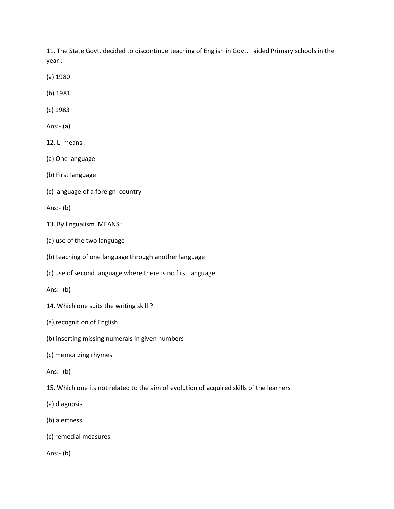11. The State Govt. decided to discontinue teaching of English in Govt. –aided Primary schools in the year :

- (a) 1980
- (b) 1981
- (c) 1983
- Ans:- (a)
- 12.  $L_1$  means:
- (a) One language
- (b) First language
- (c) language of a foreign country

Ans:- (b)

- 13. By lingualism MEANS :
- (a) use of the two language
- (b) teaching of one language through another language
- (c) use of second language where there is no first language

Ans:- (b)

- 14. Which one suits the writing skill ?
- (a) recognition of English
- (b) inserting missing numerals in given numbers
- (c) memorizing rhymes
- Ans:- (b)
- 15. Which one its not related to the aim of evolution of acquired skills of the learners :
- (a) diagnosis
- (b) alertness
- (c) remedial measures
- Ans:- (b)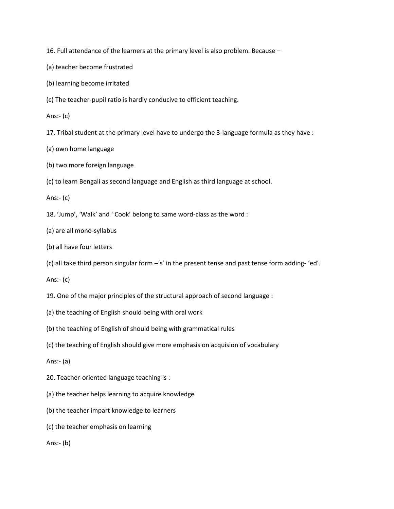16. Full attendance of the learners at the primary level is also problem. Because –

- (a) teacher become frustrated
- (b) learning become irritated
- (c) The teacher-pupil ratio is hardly conducive to efficient teaching.
- Ans:- (c)
- 17. Tribal student at the primary level have to undergo the 3-language formula as they have :
- (a) own home language
- (b) two more foreign language
- (c) to learn Bengali as second language and English as third language at school.

Ans:- (c)

- 18. 'Jump', 'Walk' and ' Cook' belong to same word-class as the word :
- (a) are all mono-syllabus
- (b) all have four letters
- (c) all take third person singular form –'s' in the present tense and past tense form adding- 'ed'.
- Ans:- (c)
- 19. One of the major principles of the structural approach of second language :
- (a) the teaching of English should being with oral work
- (b) the teaching of English of should being with grammatical rules
- (c) the teaching of English should give more emphasis on acquision of vocabulary

Ans:- (a)

- 20. Teacher-oriented language teaching is :
- (a) the teacher helps learning to acquire knowledge
- (b) the teacher impart knowledge to learners
- (c) the teacher emphasis on learning

Ans:- (b)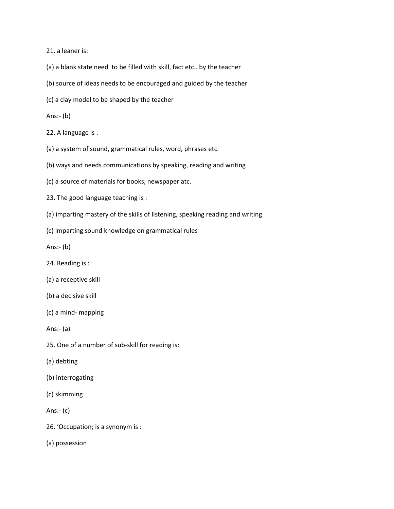21. a leaner is:

- (a) a blank state need to be filled with skill, fact etc.. by the teacher
- (b) source of ideas needs to be encouraged and guided by the teacher
- (c) a clay model to be shaped by the teacher

## Ans:- (b)

- 22. A language is :
- (a) a system of sound, grammatical rules, word, phrases etc.
- (b) ways and needs communications by speaking, reading and writing
- (c) a source of materials for books, newspaper atc.
- 23. The good language teaching is :
- (a) imparting mastery of the skills of listening, speaking reading and writing
- (c) imparting sound knowledge on grammatical rules

Ans:- (b)

- 24. Reading is :
- (a) a receptive skill
- (b) a decisive skill
- (c) a mind- mapping

Ans:- (a)

- 25. One of a number of sub-skill for reading is:
- (a) debting
- (b) interrogating
- (c) skimming
- Ans:- (c)
- 26. 'Occupation; is a synonym is :

(a) possession